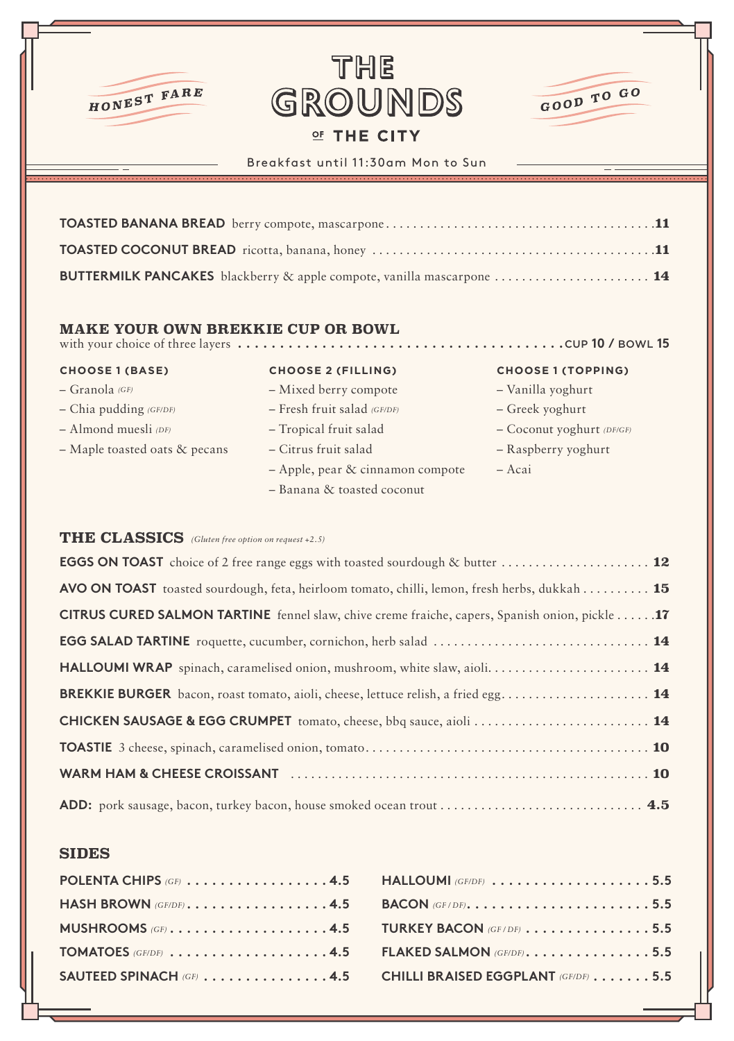

# **THE** GROUNDS OF THE CITY



# Breakfast until 11:30am Mon to Sun

| BUTTERMILK PANCAKES blackberry & apple compote, vanilla mascarpone  14 |
|------------------------------------------------------------------------|

### **MAKE YOUR OWN BREKKIE CUP OR BOWL**<br>with your choice of three lavers .................... with your choice of three layers **. . . . . . . . . . . . . . . . . . . . . . . . . . . . . . . . . . . . . .** CUP **10 /** BOWL **15**

- Granola *(GF)*
- Chia pudding *(GF/DF)*
- Almond muesli *(DF)*
- Maple toasted oats & pecans

## **CHOOSE 1 (BASE) CHOOSE 2 (FILLING) CHOOSE 1 (TOPPING)**

- Mixed berry compote – Fresh fruit salad *(GF/DF)* – Tropical fruit salad – Citrus fruit salad
- 
- Apple, pear & cinnamon compote
- Banana & toasted coconut

- Vanilla yoghurt
- Greek yoghurt
- Coconut yoghurt *(DF/GF)*
- Raspberry yoghurt
- Acai

# **THE CLASSICS** *(Gluten free option on request +2.5)*

| <b>AVO ON TOAST</b> toasted sourdough, feta, heirloom tomato, chilli, lemon, fresh herbs, dukkah 15 |
|-----------------------------------------------------------------------------------------------------|
| CITRUS CURED SALMON TARTINE fennel slaw, chive creme fraiche, capers, Spanish onion, pickle 17      |
|                                                                                                     |
|                                                                                                     |
|                                                                                                     |
| <b>CHICKEN SAUSAGE &amp; EGG CRUMPET</b> tomato, cheese, bbq sauce, aioli  14                       |
|                                                                                                     |
|                                                                                                     |
|                                                                                                     |

# **SIDES**

| POLENTA CHIPS (GF) $\dots$ , $\dots$ , $\dots$ , $\dots$ , $4.5$ HALLOUMI (GF/DF) $\dots$ , $\dots$ , $\dots$ , $\dots$ , $\dots$ , $5.5$ |  |
|-------------------------------------------------------------------------------------------------------------------------------------------|--|
| HASH BROWN (GE/DE) $\dots \dots \dots \dots \dots 4.5$ BACON (GE/DE) $\dots \dots \dots \dots \dots \dots \dots 5.5$                      |  |
| MUSHROOMS (GF) 4.5 TURKEY BACON (GF/DF) 5.5                                                                                               |  |
| TOMATOES (GF/DF) 4.5 FLAKED SALMON (GF/DF)5.5                                                                                             |  |
| SAUTEED SPINACH (GF) $\dots \dots \dots \dots$ 4.5 CHILLI BRAISED EGGPLANT (GF/DF) $\dots \dots$ 5.5                                      |  |